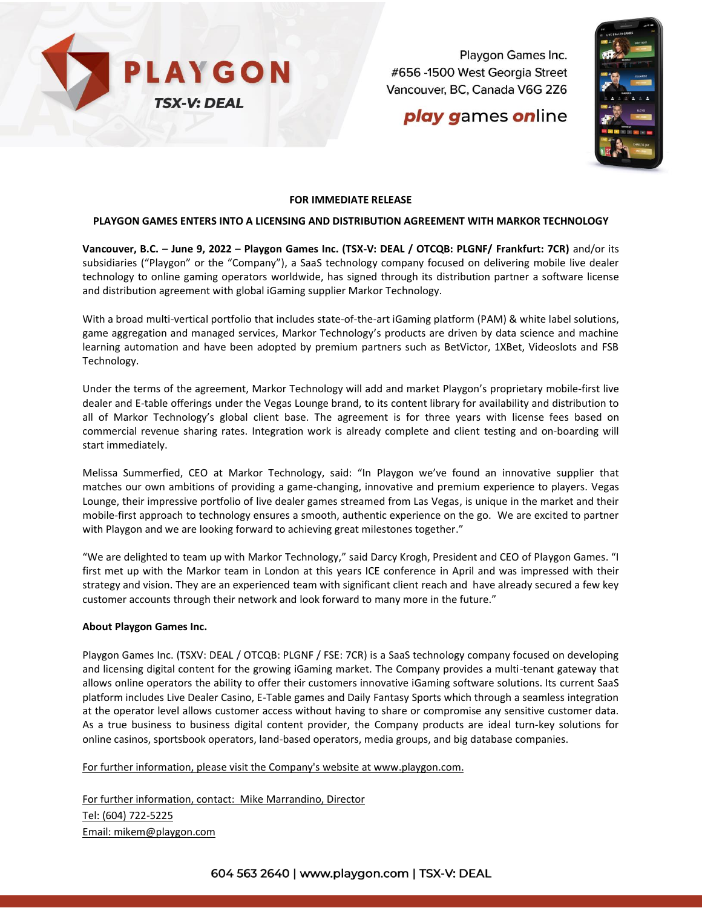

Playgon Games Inc. #656 -1500 West Georgia Street Vancouver, BC, Canada V6G 2Z6

# **play games online**



### **FOR IMMEDIATE RELEASE**

### **PLAYGON GAMES ENTERS INTO A LICENSING AND DISTRIBUTION AGREEMENT WITH MARKOR TECHNOLOGY**

**Vancouver, B.C. – June 9, 2022 – Playgon Games Inc. (TSX-V: DEAL / OTCQB: PLGNF/ Frankfurt: 7CR)** and/or its subsidiaries ("Playgon" or the "Company"), a SaaS technology company focused on delivering mobile live dealer technology to online gaming operators worldwide, has signed through its distribution partner a software license and distribution agreement with global iGaming supplier Markor Technology.

With a broad multi-vertical portfolio that includes state-of-the-art iGaming platform (PAM) & white label solutions, game aggregation and managed services, Markor Technology's products are driven by data science and machine learning automation and have been adopted by premium partners such as BetVictor, 1XBet, Videoslots and FSB Technology.

Under the terms of the agreement, Markor Technology will add and market Playgon's proprietary mobile-first live dealer and E-table offerings under the Vegas Lounge brand, to its content library for availability and distribution to all of Markor Technology's global client base. The agreement is for three years with license fees based on commercial revenue sharing rates. Integration work is already complete and client testing and on-boarding will start immediately.

Melissa Summerfied, CEO at Markor Technology, said: "In Playgon we've found an innovative supplier that matches our own ambitions of providing a game-changing, innovative and premium experience to players. Vegas Lounge, their impressive portfolio of live dealer games streamed from Las Vegas, is unique in the market and their mobile-first approach to technology ensures a smooth, authentic experience on the go. We are excited to partner with Playgon and we are looking forward to achieving great milestones together."

"We are delighted to team up with Markor Technology," said Darcy Krogh, President and CEO of Playgon Games. "I first met up with the Markor team in London at this years ICE conference in April and was impressed with their strategy and vision. They are an experienced team with significant client reach and have already secured a few key customer accounts through their network and look forward to many more in the future."

#### **About Playgon Games Inc.**

Playgon Games Inc. (TSXV: DEAL / OTCQB: PLGNF / FSE: 7CR) is a SaaS technology company focused on developing and licensing digital content for the growing iGaming market. The Company provides a multi-tenant gateway that allows online operators the ability to offer their customers innovative iGaming software solutions. Its current SaaS platform includes Live Dealer Casino, E-Table games and Daily Fantasy Sports which through a seamless integration at the operator level allows customer access without having to share or compromise any sensitive customer data. As a true business to business digital content provider, the Company products are ideal turn-key solutions for online casinos, sportsbook operators, land-based operators, media groups, and big database companies.

For further information, please visit the Company's website at [www.playgon.com.](http://www.playgon.com/)

For further information, contact: Mike Marrandino, Director Tel: (604) 722-5225 Email: [mikem@playgon.com](mailto:mikem@playgon.com)